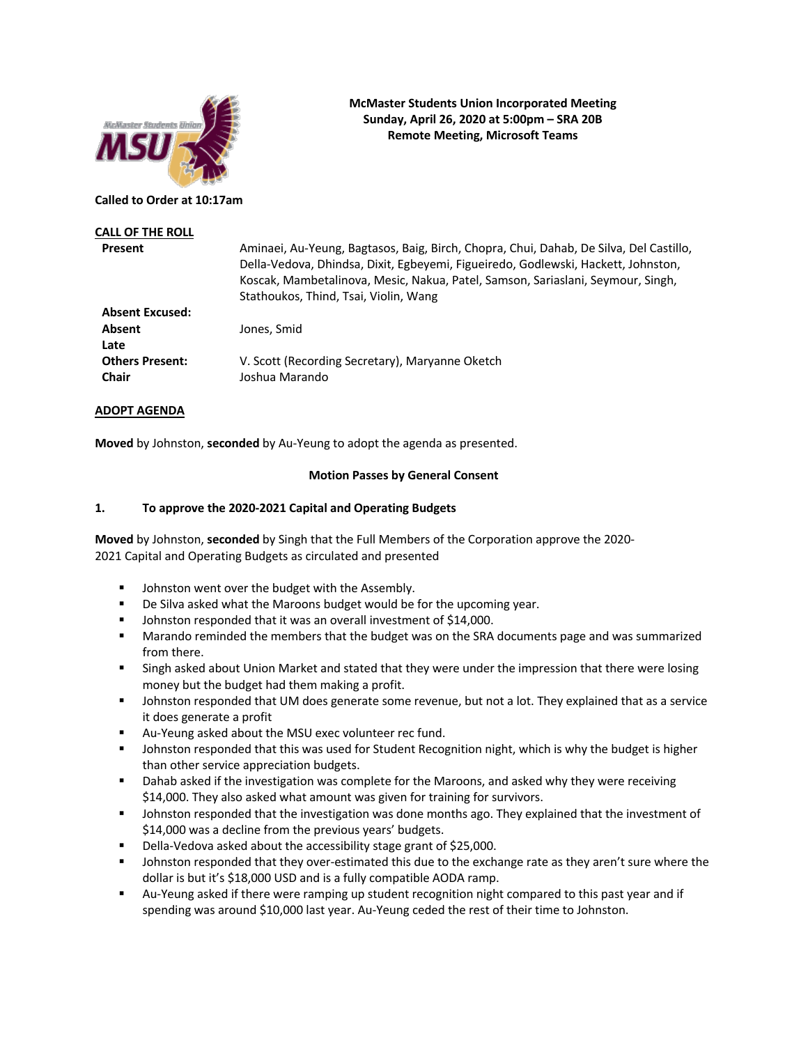

# **McMaster Students Union Incorporated Meeting Sunday, April 26, 2020 at 5:00pm – SRA 20B Remote Meeting, Microsoft Teams**

## **Called to Order at 10:17am**

| <b>CALL OF THE ROLL</b> |                                                                                                                                                                                                                                                                                                         |
|-------------------------|---------------------------------------------------------------------------------------------------------------------------------------------------------------------------------------------------------------------------------------------------------------------------------------------------------|
| Present                 | Aminaei, Au-Yeung, Bagtasos, Baig, Birch, Chopra, Chui, Dahab, De Silva, Del Castillo,<br>Della-Vedova, Dhindsa, Dixit, Egbeyemi, Figueiredo, Godlewski, Hackett, Johnston,<br>Koscak, Mambetalinova, Mesic, Nakua, Patel, Samson, Sariaslani, Seymour, Singh,<br>Stathoukos, Thind, Tsai, Violin, Wang |
| <b>Absent Excused:</b>  |                                                                                                                                                                                                                                                                                                         |
| Absent                  | Jones, Smid                                                                                                                                                                                                                                                                                             |
| Late                    |                                                                                                                                                                                                                                                                                                         |
| <b>Others Present:</b>  | V. Scott (Recording Secretary), Maryanne Oketch                                                                                                                                                                                                                                                         |
| <b>Chair</b>            | Joshua Marando                                                                                                                                                                                                                                                                                          |
|                         |                                                                                                                                                                                                                                                                                                         |

#### **ADOPT AGENDA**

**Moved** by Johnston, **seconded** by Au-Yeung to adopt the agenda as presented.

#### **Motion Passes by General Consent**

## **1. To approve the 2020-2021 Capital and Operating Budgets**

**Moved** by Johnston, **seconded** by Singh that the Full Members of the Corporation approve the 2020- 2021 Capital and Operating Budgets as circulated and presented

- Johnston went over the budget with the Assembly.
- De Silva asked what the Maroons budget would be for the upcoming year.
- Johnston responded that it was an overall investment of \$14,000.
- **■** Marando reminded the members that the budget was on the SRA documents page and was summarized from there.
- Singh asked about Union Market and stated that they were under the impression that there were losing money but the budget had them making a profit.
- Johnston responded that UM does generate some revenue, but not a lot. They explained that as a service it does generate a profit
- Au-Yeung asked about the MSU exec volunteer rec fund.
- Johnston responded that this was used for Student Recognition night, which is why the budget is higher than other service appreciation budgets.
- Dahab asked if the investigation was complete for the Maroons, and asked why they were receiving \$14,000. They also asked what amount was given for training for survivors.
- **•** Johnston responded that the investigation was done months ago. They explained that the investment of \$14,000 was a decline from the previous years' budgets.
- § Della-Vedova asked about the accessibility stage grant of \$25,000.
- Johnston responded that they over-estimated this due to the exchange rate as they aren't sure where the dollar is but it's \$18,000 USD and is a fully compatible AODA ramp.
- § Au-Yeung asked if there were ramping up student recognition night compared to this past year and if spending was around \$10,000 last year. Au-Yeung ceded the rest of their time to Johnston.